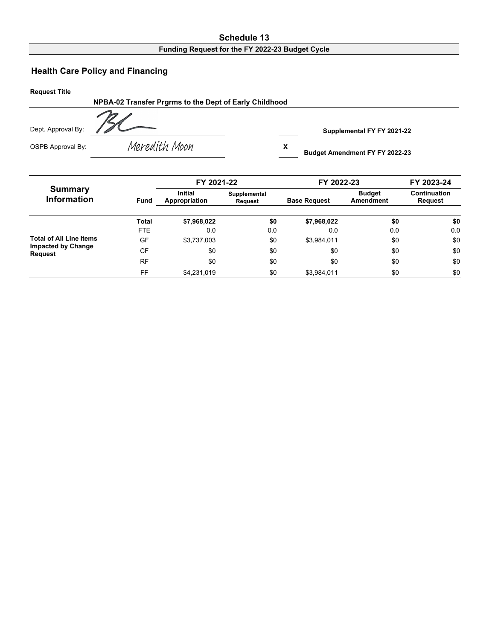## **Schedule 13**

## **Funding Request for the FY 2022-23 Budget Cycle**

## **Health Care Policy and Financing**

| <b>Request Title</b> |                                                        |                                            |  |
|----------------------|--------------------------------------------------------|--------------------------------------------|--|
|                      | NPBA-02 Transfer Prgrms to the Dept of Early Childhood |                                            |  |
| Dept. Approval By:   |                                                        | Supplemental FY FY 2021-22                 |  |
| OSPB Approval By:    | Meredith Moon                                          | х<br><b>Budget Amendment FY FY 2022-23</b> |  |

| <b>Summary</b><br><b>Information</b>        |              | FY 2021-22                      |                                | FY 2022-23          |                            | FY 2023-24              |  |
|---------------------------------------------|--------------|---------------------------------|--------------------------------|---------------------|----------------------------|-------------------------|--|
|                                             | <b>Fund</b>  | <b>Initial</b><br>Appropriation | Supplemental<br><b>Request</b> | <b>Base Request</b> | <b>Budget</b><br>Amendment | Continuation<br>Request |  |
|                                             | <b>Total</b> | \$7,968,022                     | \$0                            | \$7,968,022         | \$0                        | \$0                     |  |
| <b>Total of All Line Items</b>              | <b>FTE</b>   | 0.0                             | 0.0                            | 0.0                 | 0.0                        | 0.0                     |  |
|                                             | GF           | \$3,737,003                     | \$0                            | \$3,984,011         | \$0                        | \$0                     |  |
| <b>Impacted by Change</b><br><b>Request</b> | <b>CF</b>    | \$0                             | \$0                            | \$0                 | \$0                        | \$0                     |  |
|                                             | <b>RF</b>    | \$0                             | \$0                            | \$0                 | \$0                        | \$0                     |  |
|                                             | FF           | \$4,231,019                     | \$0                            | \$3,984,011         | \$0                        | \$0                     |  |